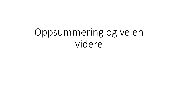# Oppsummering og veien videre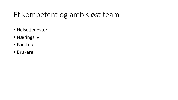#### Et kompetent og ambisiøst team -

- Helsetjenester
- Næringsliv
- Forskere
- Brukere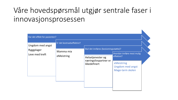#### Våre hovedspørsmål utgjør sentrale faser i innovasjonsprosessen

| Har det effekt for pasienten?                    |                                                      |                                                            |                                                           |  |  |  |
|--------------------------------------------------|------------------------------------------------------|------------------------------------------------------------|-----------------------------------------------------------|--|--|--|
| Ungdom med angst<br>Ryggplager<br>Leve med kreft | Er det kostnadseffektivt?<br>Mamma mia<br>eMeistring | Skal det innføres (beslutningsstøtte)?                     |                                                           |  |  |  |
|                                                  |                                                      | Helsetjenester og<br>næringslivspartner er<br>ikkedefinert | Hvordan innføre mest mulig<br>effektivt?                  |  |  |  |
|                                                  |                                                      |                                                            | eMeistring<br><b>Ungdom med angst</b><br>Mage-tarm skolen |  |  |  |
|                                                  |                                                      |                                                            |                                                           |  |  |  |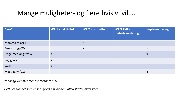#### Mange muligheter- og flere hvis vi vil….

| Case*             | WP 1 effektivitet | <b>WP 2 Kost nytte</b> | <b>WP 3 Tidlig</b><br>metodevurdering | <b>Implementering</b> |
|-------------------|-------------------|------------------------|---------------------------------------|-----------------------|
| Mamma mia/CT      |                   | $\boldsymbol{X}$       |                                       |                       |
| Emeistring/CW     |                   | $\boldsymbol{X}$       |                                       | $\boldsymbol{X}$      |
| Unge med angst/YW | $\sf X$           |                        |                                       | $\boldsymbol{X}$      |
| Rygg/YW           | X                 |                        |                                       |                       |
| kreft             | $\sf X$           |                        |                                       |                       |
| Mage tarm/CW      |                   |                        |                                       | X                     |

*\*I tillegg kommer mer overordnete mål*

*Dette er kun det som er spesifisert i søknaden- altså startpunktet vårt*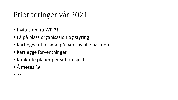#### Prioriteringer vår 2021

- Invitasjon fra WP 3!
- Få på plass organisasjon og styring
- Kartlegge utfallsmål på tvers av alle partnere
- Kartlegge forventninger
- Konkrete planer per subprosjekt
- Å møtes  $\odot$
- ??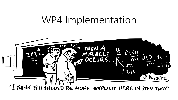## WP4 Implementation

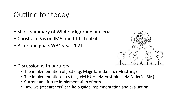#### Outline for today

- Short summary of WP4 background and goals
- Christiaan Vis on IMA and Itfits-toolkit
- Plans and goals WP4 year 2021



- Discussion with partners
	- The implementation object (e.g. MageTarmskolen, eMeistring)
	- The implementation sites (e.g. eM HUH- eM Vestfold eM Niderås, BM)
	- Current and future implementation efforts
	- How we (researchers) can help guide implementation and evaluation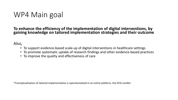#### WP4 Main goal

**To enhance the efficiency of the implementation of digital interventions, by gaining knowledge on tailored implementation strategies and their outcome**

Also,

- To support evidence-based scale-up of digital interventions in healthcare settings
- To promote systematic uptake of research findings and other evidence-based practices
- To improve the quality and effectiveness of care

\*Conceptualization of tailored implementation is operationalized in an online platform, the ItFits-toolkit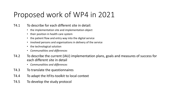#### Proposed work of WP4 in 2021

- T4.1 To describe for each different site in detail:
	- the implementation site and implementation object
	- their position in health care system
	- the patient flow and entry way into the digital service
	- involved persons and organisations in delivery of the service
	- the technological solution
	- *Communalities and differences*
- T4.2 To describe the current (IAU) implementation plans, goals and measures of success for each different site in detail
	- *Communalities and differences*
- T4.3 To translate the questionnaires
- T4.4 To adapt the ItFits-toolkit to local context
- T4.5 To develop the study protocol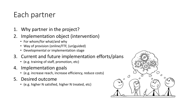### Each partner

- 1. Why partner in the project?
- 2. Implementation object (intervention)
	- For whom/for what/and why
	- Way of provision (online/FTF, (un)guided)
	- Developmental or implementation stage
- 3. Current and future implementation efforts/plans
	- (e.g. training of staff, promotion, etc)
- 4. Implementation goals
	- (e.g. increase reach, increase efficiency, reduce costs)
- 5. Desired outcome
	- (e.g. higher N satisfied, higher N treated, etc)